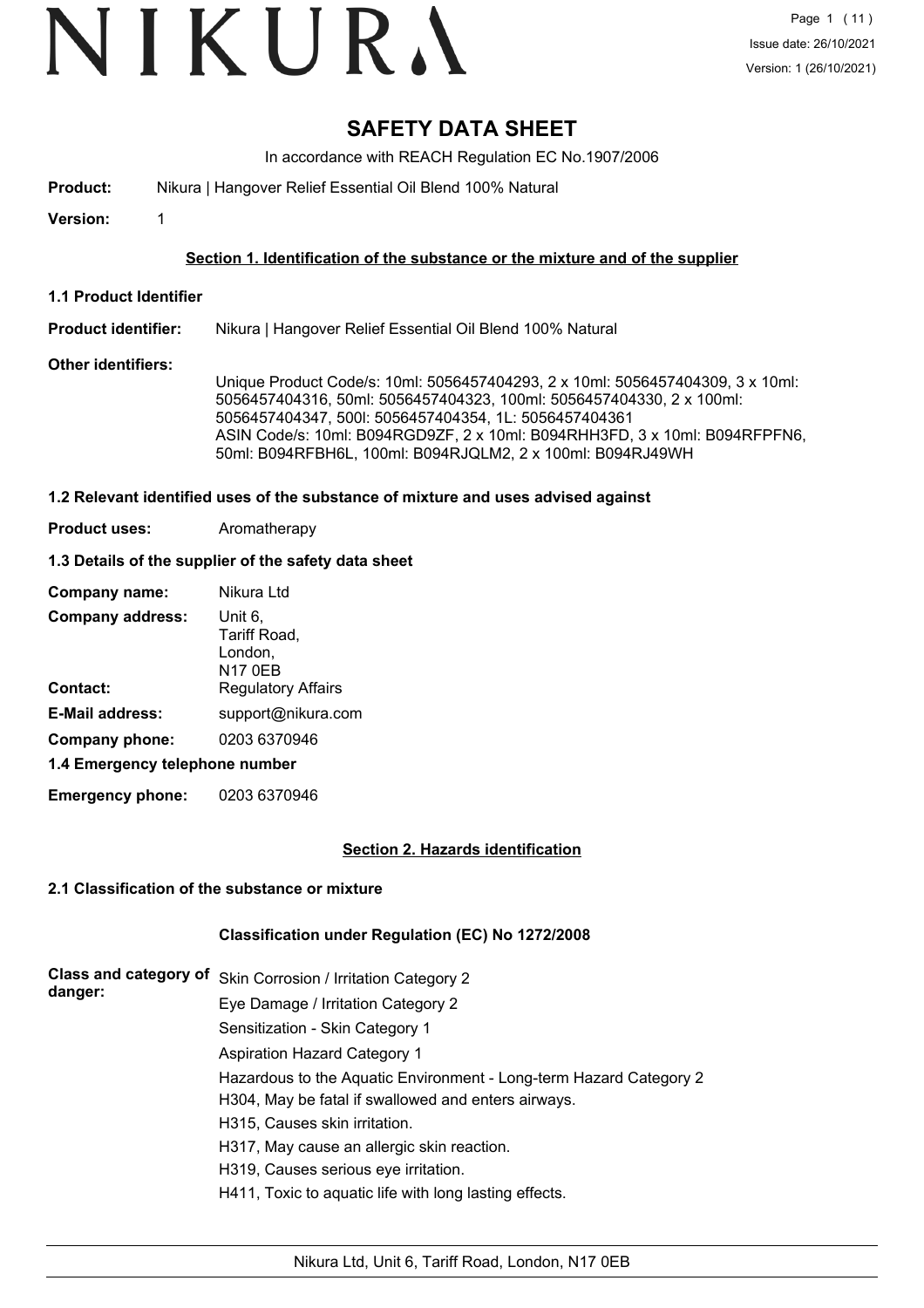# VIKURA

### **SAFETY DATA SHEET**

In accordance with REACH Regulation EC No.1907/2006

**Product:** Nikura | Hangover Relief Essential Oil Blend 100% Natural

**Version:** 1

#### **Section 1. Identification of the substance or the mixture and of the supplier**

**1.1 Product Identifier**

#### **Product identifier:** Nikura | Hangover Relief Essential Oil Blend 100% Natural

#### **Other identifiers:**

Unique Product Code/s: 10ml: 5056457404293, 2 x 10ml: 5056457404309, 3 x 10ml: 5056457404316, 50ml: 5056457404323, 100ml: 5056457404330, 2 x 100ml: 5056457404347, 500l: 5056457404354, 1L: 5056457404361 ASIN Code/s: 10ml: B094RGD9ZF, 2 x 10ml: B094RHH3FD, 3 x 10ml: B094RFPFN6, 50ml: B094RFBH6L, 100ml: B094RJQLM2, 2 x 100ml: B094RJ49WH

#### **1.2 Relevant identified uses of the substance of mixture and uses advised against**

**Product uses:** Aromatherapy

#### **1.3 Details of the supplier of the safety data sheet**

| Company name:                  | Nikura Ltd                                           |  |  |  |
|--------------------------------|------------------------------------------------------|--|--|--|
| <b>Company address:</b>        | Unit 6,<br>Tariff Road,<br>London,<br><b>N17 0EB</b> |  |  |  |
| <b>Contact:</b>                | <b>Regulatory Affairs</b>                            |  |  |  |
| <b>E-Mail address:</b>         | support@nikura.com                                   |  |  |  |
| Company phone:                 | 0203 6370946                                         |  |  |  |
| 1.4 Emergency telephone number |                                                      |  |  |  |

**Emergency phone:** 0203 6370946

#### **Section 2. Hazards identification**

#### **2.1 Classification of the substance or mixture**

#### **Classification under Regulation (EC) No 1272/2008**

| danger: | Class and category of Skin Corrosion / Irritation Category 2       |
|---------|--------------------------------------------------------------------|
|         | Eye Damage / Irritation Category 2                                 |
|         | Sensitization - Skin Category 1                                    |
|         | <b>Aspiration Hazard Category 1</b>                                |
|         | Hazardous to the Aquatic Environment - Long-term Hazard Category 2 |
|         | H304, May be fatal if swallowed and enters airways.                |
|         | H315, Causes skin irritation.                                      |
|         | H317, May cause an allergic skin reaction.                         |
|         | H319, Causes serious eye irritation.                               |
|         | H411, Toxic to aquatic life with long lasting effects.             |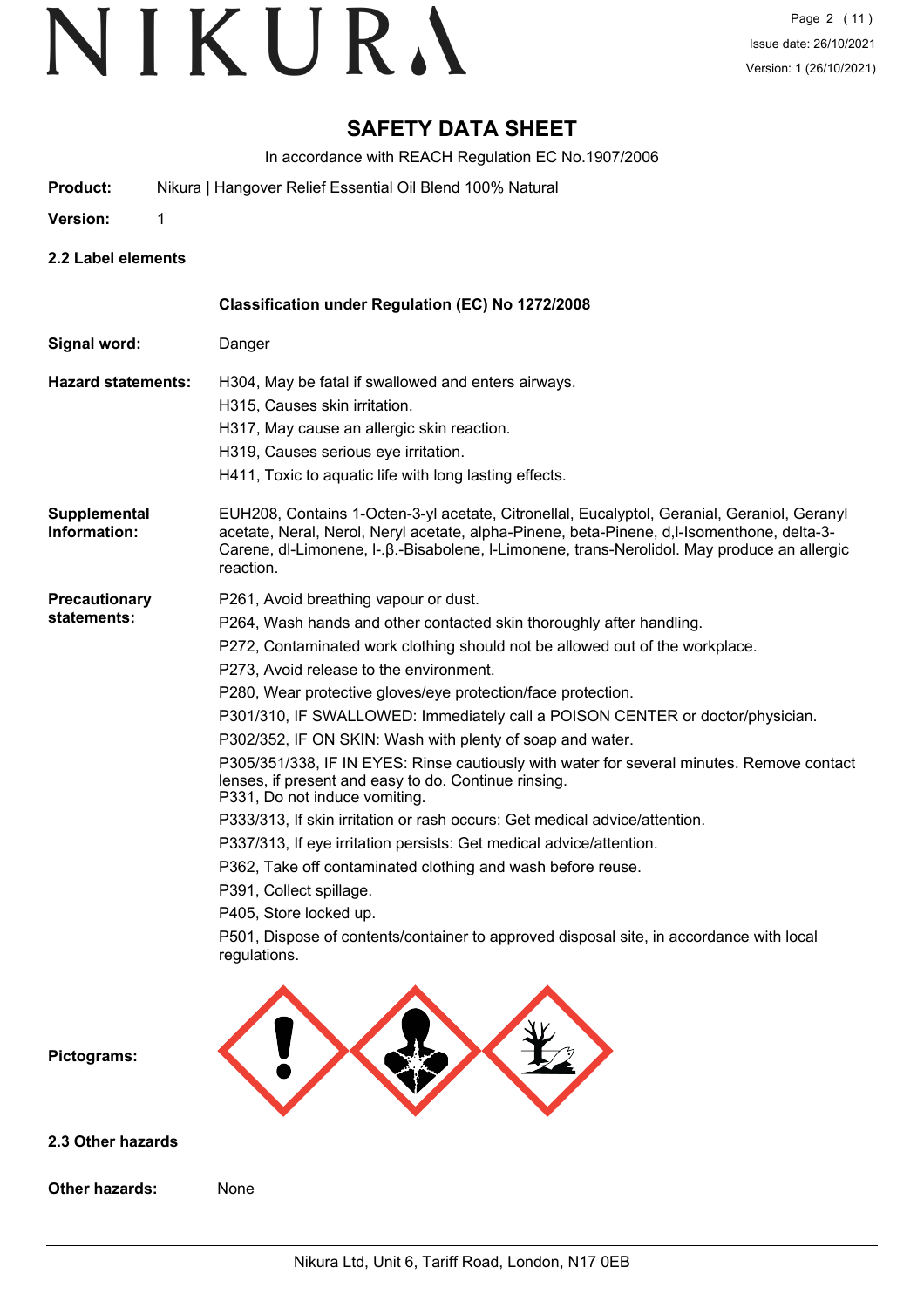### **SAFETY DATA SHEET**

In accordance with REACH Regulation EC No.1907/2006

**Product:** Nikura | Hangover Relief Essential Oil Blend 100% Natural

**Version:** 1

- 
- **2.2 Label elements**

|                                     | Classification under Regulation (EC) No 1272/2008                                                                                                                                                                                                                                                                                                                                                                                                                                                                                                                                                                                                                                                                                                                                                                                                                                                                                                                                                                                |
|-------------------------------------|----------------------------------------------------------------------------------------------------------------------------------------------------------------------------------------------------------------------------------------------------------------------------------------------------------------------------------------------------------------------------------------------------------------------------------------------------------------------------------------------------------------------------------------------------------------------------------------------------------------------------------------------------------------------------------------------------------------------------------------------------------------------------------------------------------------------------------------------------------------------------------------------------------------------------------------------------------------------------------------------------------------------------------|
| Signal word:                        | Danger                                                                                                                                                                                                                                                                                                                                                                                                                                                                                                                                                                                                                                                                                                                                                                                                                                                                                                                                                                                                                           |
| <b>Hazard statements:</b>           | H304, May be fatal if swallowed and enters airways.<br>H315, Causes skin irritation.<br>H317, May cause an allergic skin reaction.<br>H319, Causes serious eye irritation.<br>H411, Toxic to aquatic life with long lasting effects.                                                                                                                                                                                                                                                                                                                                                                                                                                                                                                                                                                                                                                                                                                                                                                                             |
| <b>Supplemental</b><br>Information: | EUH208, Contains 1-Octen-3-yl acetate, Citronellal, Eucalyptol, Geranial, Geraniol, Geranyl<br>acetate, Neral, Nerol, Neryl acetate, alpha-Pinene, beta-Pinene, d,l-Isomenthone, delta-3-<br>Carene, dl-Limonene, I-. B.-Bisabolene, I-Limonene, trans-Nerolidol. May produce an allergic<br>reaction.                                                                                                                                                                                                                                                                                                                                                                                                                                                                                                                                                                                                                                                                                                                           |
| <b>Precautionary</b><br>statements: | P261, Avoid breathing vapour or dust.<br>P264, Wash hands and other contacted skin thoroughly after handling.<br>P272, Contaminated work clothing should not be allowed out of the workplace.<br>P273, Avoid release to the environment.<br>P280, Wear protective gloves/eye protection/face protection.<br>P301/310, IF SWALLOWED: Immediately call a POISON CENTER or doctor/physician.<br>P302/352, IF ON SKIN: Wash with plenty of soap and water.<br>P305/351/338, IF IN EYES: Rinse cautiously with water for several minutes. Remove contact<br>lenses, if present and easy to do. Continue rinsing.<br>P331, Do not induce vomiting.<br>P333/313, If skin irritation or rash occurs: Get medical advice/attention.<br>P337/313, If eye irritation persists: Get medical advice/attention.<br>P362, Take off contaminated clothing and wash before reuse.<br>P391, Collect spillage.<br>P405, Store locked up.<br>P501, Dispose of contents/container to approved disposal site, in accordance with local<br>regulations. |
| Pictograms:                         |                                                                                                                                                                                                                                                                                                                                                                                                                                                                                                                                                                                                                                                                                                                                                                                                                                                                                                                                                                                                                                  |
| 2.3 Other hazards                   |                                                                                                                                                                                                                                                                                                                                                                                                                                                                                                                                                                                                                                                                                                                                                                                                                                                                                                                                                                                                                                  |
| Other hazards:                      | None                                                                                                                                                                                                                                                                                                                                                                                                                                                                                                                                                                                                                                                                                                                                                                                                                                                                                                                                                                                                                             |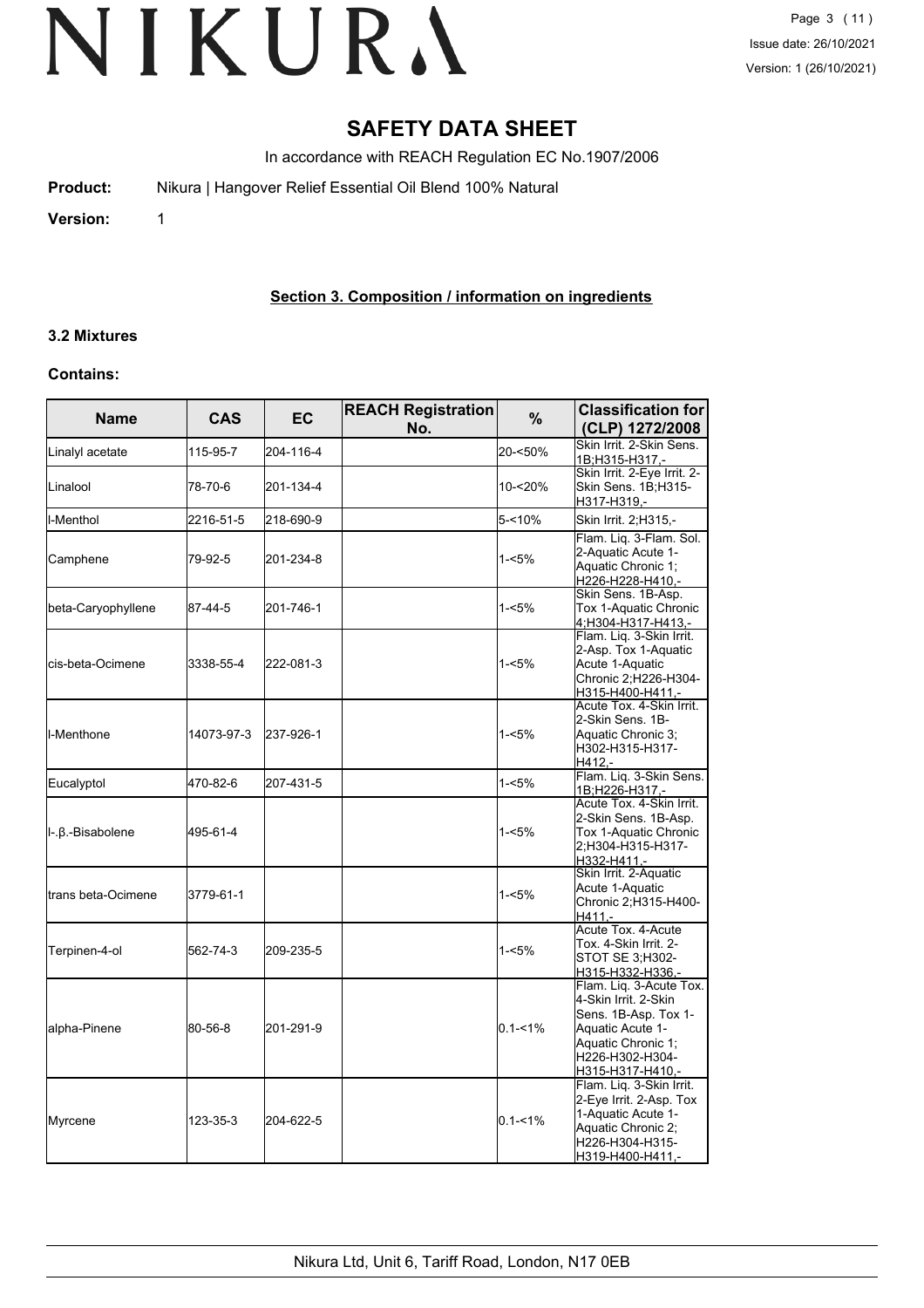### **SAFETY DATA SHEET**

In accordance with REACH Regulation EC No.1907/2006

| <b>Product:</b> | Nikura   Hangover Relief Essential Oil Blend 100% Natural |  |
|-----------------|-----------------------------------------------------------|--|
| $V$ cucicu.     |                                                           |  |

**Version:** 1

#### **Section 3. Composition / information on ingredients**

### **3.2 Mixtures**

#### **Contains:**

| <b>Name</b>         | <b>CAS</b> | EC        | <b>REACH Registration</b><br>No. | %           | <b>Classification for</b><br>(CLP) 1272/2008                                                                                                             |
|---------------------|------------|-----------|----------------------------------|-------------|----------------------------------------------------------------------------------------------------------------------------------------------------------|
| Linalyl acetate     | 115-95-7   | 204-116-4 |                                  | 20-<50%     | Skin Irrit, 2-Skin Sens.<br>1B;H315-H317 -                                                                                                               |
| Linalool            | 78-70-6    | 201-134-4 |                                  | 10-<20%     | Skin Irrit. 2-Eye Irrit. 2-<br>Skin Sens. 1B;H315-<br>H317-H319,-                                                                                        |
| l-Menthol           | 2216-51-5  | 218-690-9 |                                  | $5 - 10%$   | Skin Irrit. 2; H315,-                                                                                                                                    |
| Camphene            | 79-92-5    | 201-234-8 |                                  | 1-<5%       | Flam. Lig. 3-Flam. Sol.<br>2-Aquatic Acute 1-<br>Aquatic Chronic 1;<br>H226-H228-H410,-                                                                  |
| beta-Caryophyllene  | 87-44-5    | 201-746-1 |                                  | 1-<5%       | Skin Sens. 1B-Asp.<br>Tox 1-Aquatic Chronic<br>4;H304-H317-H413,-                                                                                        |
| cis-beta-Ocimene    | 3338-55-4  | 222-081-3 |                                  | 1-<5%       | Flam. Liq. 3-Skin Irrit.<br>2-Asp. Tox 1-Aquatic<br>Acute 1-Aquatic<br>Chronic 2; H226-H304-<br>H315-H400-H411,-                                         |
| I-Menthone          | 14073-97-3 | 237-926-1 |                                  | 1-<5%       | Acute Tox. 4-Skin Irrit.<br>2-Skin Sens. 1B-<br>Aquatic Chronic 3;<br>H302-H315-H317-<br>$H412. -$                                                       |
| Eucalyptol          | 470-82-6   | 207-431-5 |                                  | $1 - 5%$    | Flam. Liq. 3-Skin Sens.<br>1B;H226-H317,-                                                                                                                |
| Ι-.β.-Bisabolene    | 495-61-4   |           |                                  | 1-<5%       | Acute Tox. 4-Skin Irrit.<br>2-Skin Sens. 1B-Asp.<br>Tox 1-Aquatic Chronic<br>2;H304-H315-H317-<br>H332-H411,-                                            |
| ltrans beta-Ocimene | 3779-61-1  |           |                                  | 1-<5%       | Skin Irrit. 2-Aquatic<br>Acute 1-Aquatic<br>Chronic 2; H315-H400-<br>$H411 -$                                                                            |
| Terpinen-4-ol       | 562-74-3   | 209-235-5 |                                  | 1-<5%       | Acute Tox. 4-Acute<br>Tox. 4-Skin Irrit. 2-<br>STOT SE 3:H302-<br>H315-H332-H336,-                                                                       |
| alpha-Pinene        | 80-56-8    | 201-291-9 |                                  | $0.1 - 1\%$ | Flam. Liq. 3-Acute Tox.<br>4-Skin Irrit. 2-Skin<br>Sens. 1B-Asp. Tox 1-<br>Aquatic Acute 1-<br>Aquatic Chronic 1;<br>H226-H302-H304-<br>H315-H317-H410,- |
| Myrcene             | 123-35-3   | 204-622-5 |                                  | $0.1 - 1%$  | Flam. Liq. 3-Skin Irrit.<br>2-Eye Irrit. 2-Asp. Tox<br>1-Aquatic Acute 1-<br>Aquatic Chronic 2;<br>H226-H304-H315-<br>H319-H400-H411,-                   |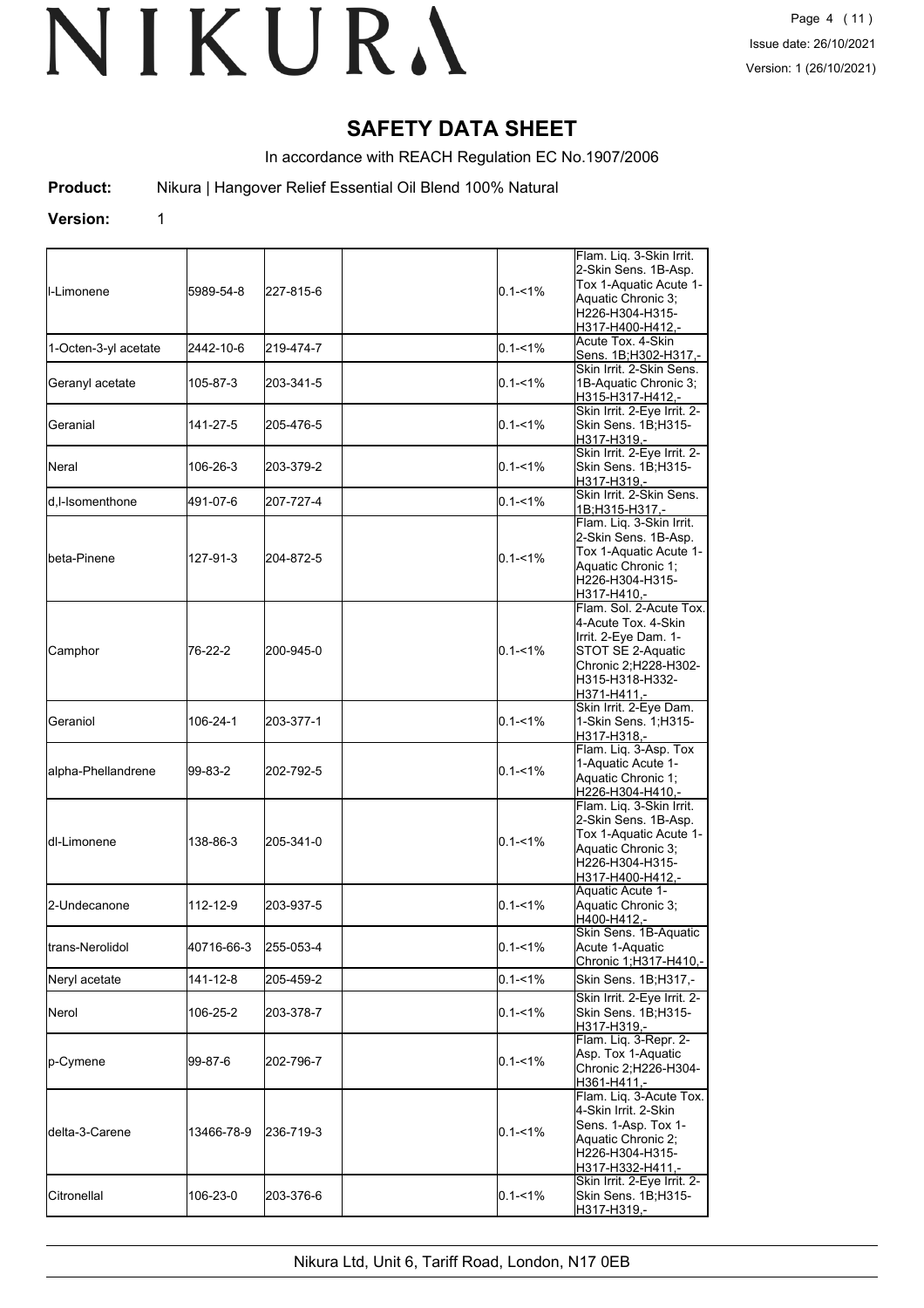### **SAFETY DATA SHEET**

In accordance with REACH Regulation EC No.1907/2006

**Product:** Nikura | Hangover Relief Essential Oil Blend 100% Natural

#### **Version:** 1

| <b>I</b> I-Limonene  | 5989-54-8  | 227-815-6 | $0.1 - 1\%$ | Flam. Liq. 3-Skin Irrit.<br>2-Skin Sens. 1B-Asp.<br>Tox 1-Aquatic Acute 1-<br>Aquatic Chronic 3;<br>H226-H304-H315-<br>H317-H400-H412,-               |
|----------------------|------------|-----------|-------------|-------------------------------------------------------------------------------------------------------------------------------------------------------|
| 1-Octen-3-yl acetate | 2442-10-6  | 219-474-7 | $0.1 - 1\%$ | Acute Tox. 4-Skin<br>Sens. 1B;H302-H317,-                                                                                                             |
| Geranyl acetate      | 105-87-3   | 203-341-5 | $0.1 - 1\%$ | Skin Irrit. 2-Skin Sens.<br>1B-Aquatic Chronic 3;<br>H315-H317-H412.-                                                                                 |
| lGeranial            | 141-27-5   | 205-476-5 | $0.1 - 1\%$ | Skin Irrit. 2-Eye Irrit. 2-<br>Skin Sens. 1B;H315-<br>H317-H319,-                                                                                     |
| <b>I</b> Neral       | 106-26-3   | 203-379-2 | $0.1 - 1\%$ | Skin Irrit. 2-Eye Irrit. 2-<br>Skin Sens. 1B;H315-<br>H317-H319,-                                                                                     |
| d,l-Isomenthone      | 491-07-6   | 207-727-4 | $0.1 - 1\%$ | Skin Irrit. 2-Skin Sens.<br>1B;H315-H317,-                                                                                                            |
| <b>I</b> beta-Pinene | 127-91-3   | 204-872-5 | $0.1 - 1\%$ | Flam. Liq. 3-Skin Irrit.<br>2-Skin Sens. 1B-Asp.<br>Tox 1-Aquatic Acute 1-<br>Aquatic Chronic 1;<br>H226-H304-H315-<br>H317-H410,-                    |
| Camphor              | 76-22-2    | 200-945-0 | $0.1 - 1\%$ | Flam. Sol. 2-Acute Tox.<br>4-Acute Tox. 4-Skin<br>Irrit. 2-Eye Dam. 1-<br>STOT SE 2-Aquatic<br>Chronic 2;H228-H302-<br>H315-H318-H332-<br>H371-H411,- |
| <b>Geraniol</b>      | 106-24-1   | 203-377-1 | $0.1 - 1\%$ | Skin Irrit. 2-Eye Dam.<br>1-Skin Sens. 1; H315-<br>H317-H318,-                                                                                        |
| alpha-Phellandrene   | 99-83-2    | 202-792-5 | $0.1 - 1\%$ | Flam. Liq. 3-Asp. Tox<br>1-Aquatic Acute 1-<br>Aquatic Chronic 1;<br>H226-H304-H410,-                                                                 |
| <b>I</b> dl-Limonene | 138-86-3   | 205-341-0 | $0.1 - 1\%$ | Flam. Liq. 3-Skin Irrit.<br>2-Skin Sens. 1B-Asp.<br>Tox 1-Aquatic Acute 1-<br>Aquatic Chronic 3;<br>H226-H304-H315-<br>H317-H400-H412.-               |
| 2-Undecanone         | 112-12-9   | 203-937-5 | $0.1 - 1\%$ | Aquatic Acute 1-<br>Aquatic Chronic 3;<br>H400-H412,-                                                                                                 |
| trans-Nerolidol      | 40716-66-3 | 255-053-4 | $0.1 - 1\%$ | Skin Sens. 1B-Aquatic<br>Acute 1-Aquatic<br>Chronic 1; H317-H410,-                                                                                    |
| Neryl acetate        | 141-12-8   | 205-459-2 | $0.1 - 1\%$ | Skin Sens. 1B;H317,-                                                                                                                                  |
| Nerol                | 106-25-2   | 203-378-7 | $0.1 - 1\%$ | Skin Irrit. 2-Eye Irrit. 2-<br>Skin Sens. 1B;H315-<br>H317-H319,-                                                                                     |
| p-Cymene             | 99-87-6    | 202-796-7 | $0.1 - 1\%$ | Flam. Liq. 3-Repr. 2-<br>Asp. Tox 1-Aquatic<br>Chronic 2;H226-H304-<br>H361-H411.-                                                                    |
| ldelta-3-Carene      | 13466-78-9 | 236-719-3 | $0.1 - 1\%$ | Flam. Liq. 3-Acute Tox.<br>4-Skin Irrit. 2-Skin<br>Sens. 1-Asp. Tox 1-<br>Aquatic Chronic 2;<br>H226-H304-H315-<br>H317-H332-H411,-                   |
| Citronellal          | 106-23-0   | 203-376-6 | $0.1 - 1\%$ | Skin Irrit. 2-Eye Irrit. 2-<br>Skin Sens. 1B;H315-<br>H317-H319,-                                                                                     |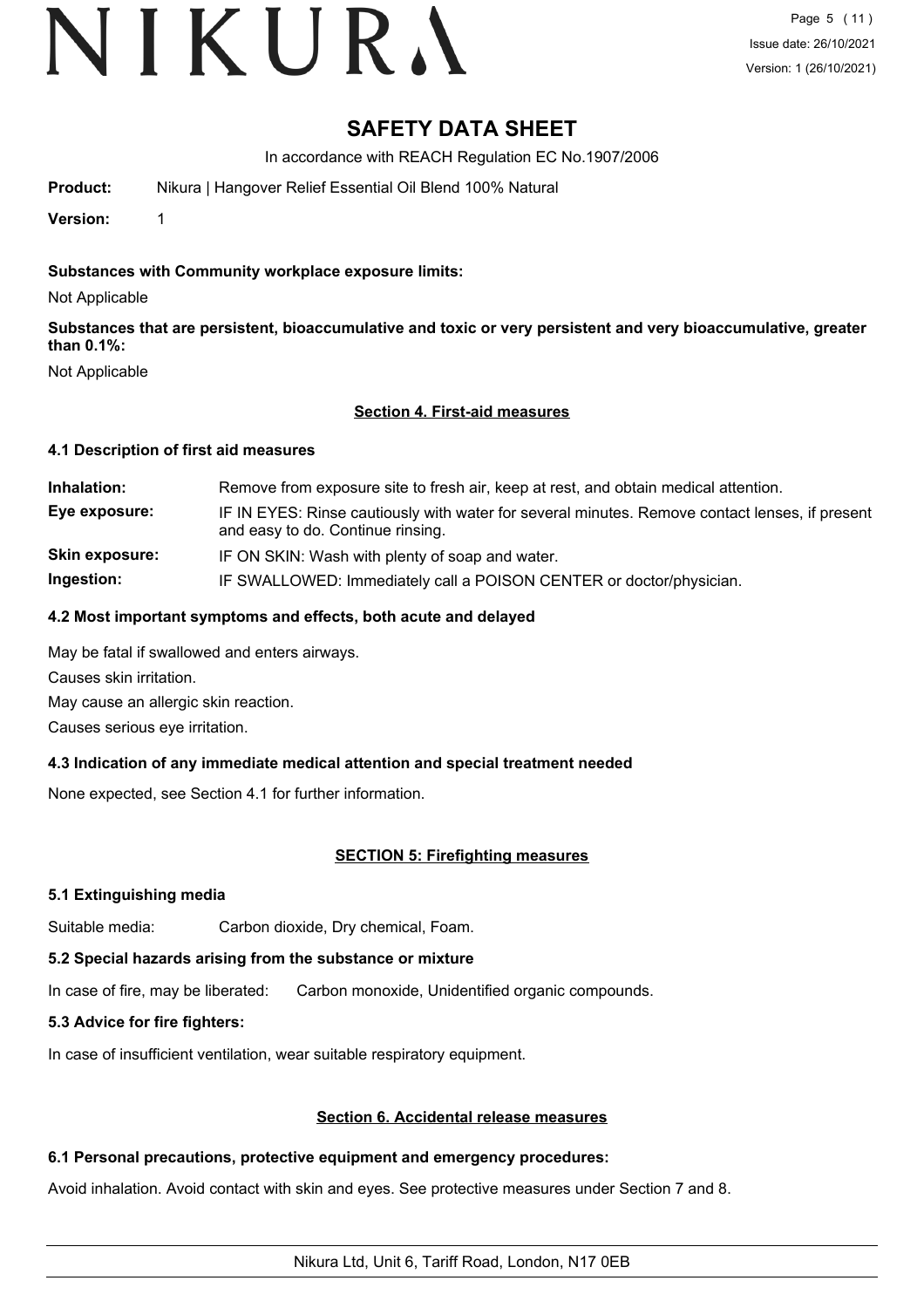# VIKURA

### **SAFETY DATA SHEET**

In accordance with REACH Regulation EC No.1907/2006

**Product:** Nikura | Hangover Relief Essential Oil Blend 100% Natural

**Version:** 1

### **Substances with Community workplace exposure limits:**

Not Applicable

**Substances that are persistent, bioaccumulative and toxic or very persistent and very bioaccumulative, greater than 0.1%:**

Not Applicable

#### **Section 4. First-aid measures**

#### **4.1 Description of first aid measures**

**Inhalation:** Remove from exposure site to fresh air, keep at rest, and obtain medical attention. **Eye exposure:** IF IN EYES: Rinse cautiously with water for several minutes. Remove contact lenses, if present and easy to do. Continue rinsing. **Skin exposure:** IF ON SKIN: Wash with plenty of soap and water. **Ingestion:** IF SWALLOWED: Immediately call a POISON CENTER or doctor/physician.

#### **4.2 Most important symptoms and effects, both acute and delayed**

May be fatal if swallowed and enters airways.

Causes skin irritation.

May cause an allergic skin reaction.

Causes serious eye irritation.

#### **4.3 Indication of any immediate medical attention and special treatment needed**

None expected, see Section 4.1 for further information.

#### **SECTION 5: Firefighting measures**

#### **5.1 Extinguishing media**

Suitable media: Carbon dioxide, Dry chemical, Foam.

#### **5.2 Special hazards arising from the substance or mixture**

In case of fire, may be liberated: Carbon monoxide, Unidentified organic compounds.

#### **5.3 Advice for fire fighters:**

In case of insufficient ventilation, wear suitable respiratory equipment.

#### **Section 6. Accidental release measures**

#### **6.1 Personal precautions, protective equipment and emergency procedures:**

Avoid inhalation. Avoid contact with skin and eyes. See protective measures under Section 7 and 8.

Nikura Ltd, Unit 6, Tariff Road, London, N17 0EB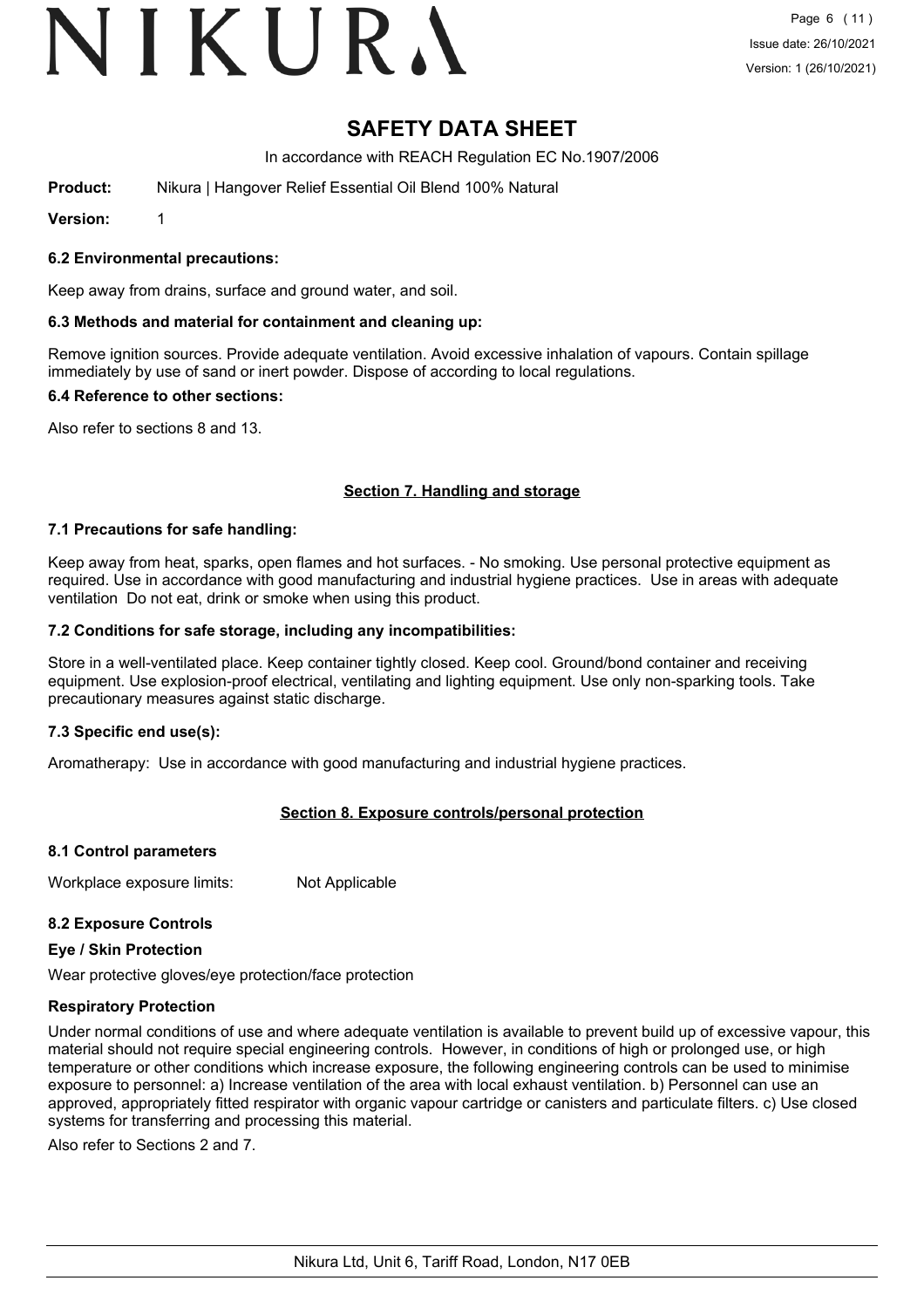# VIKURA

### **SAFETY DATA SHEET**

In accordance with REACH Regulation EC No.1907/2006

**Product:** Nikura | Hangover Relief Essential Oil Blend 100% Natural

**Version:** 1

#### **6.2 Environmental precautions:**

Keep away from drains, surface and ground water, and soil.

#### **6.3 Methods and material for containment and cleaning up:**

Remove ignition sources. Provide adequate ventilation. Avoid excessive inhalation of vapours. Contain spillage immediately by use of sand or inert powder. Dispose of according to local regulations.

#### **6.4 Reference to other sections:**

Also refer to sections 8 and 13.

#### **Section 7. Handling and storage**

#### **7.1 Precautions for safe handling:**

Keep away from heat, sparks, open flames and hot surfaces. - No smoking. Use personal protective equipment as required. Use in accordance with good manufacturing and industrial hygiene practices. Use in areas with adequate ventilation Do not eat, drink or smoke when using this product.

#### **7.2 Conditions for safe storage, including any incompatibilities:**

Store in a well-ventilated place. Keep container tightly closed. Keep cool. Ground/bond container and receiving equipment. Use explosion-proof electrical, ventilating and lighting equipment. Use only non-sparking tools. Take precautionary measures against static discharge.

#### **7.3 Specific end use(s):**

Aromatherapy: Use in accordance with good manufacturing and industrial hygiene practices.

#### **Section 8. Exposure controls/personal protection**

#### **8.1 Control parameters**

Workplace exposure limits: Not Applicable

#### **8.2 Exposure Controls**

#### **Eye / Skin Protection**

Wear protective gloves/eye protection/face protection

#### **Respiratory Protection**

Under normal conditions of use and where adequate ventilation is available to prevent build up of excessive vapour, this material should not require special engineering controls. However, in conditions of high or prolonged use, or high temperature or other conditions which increase exposure, the following engineering controls can be used to minimise exposure to personnel: a) Increase ventilation of the area with local exhaust ventilation. b) Personnel can use an approved, appropriately fitted respirator with organic vapour cartridge or canisters and particulate filters. c) Use closed systems for transferring and processing this material.

Also refer to Sections 2 and 7.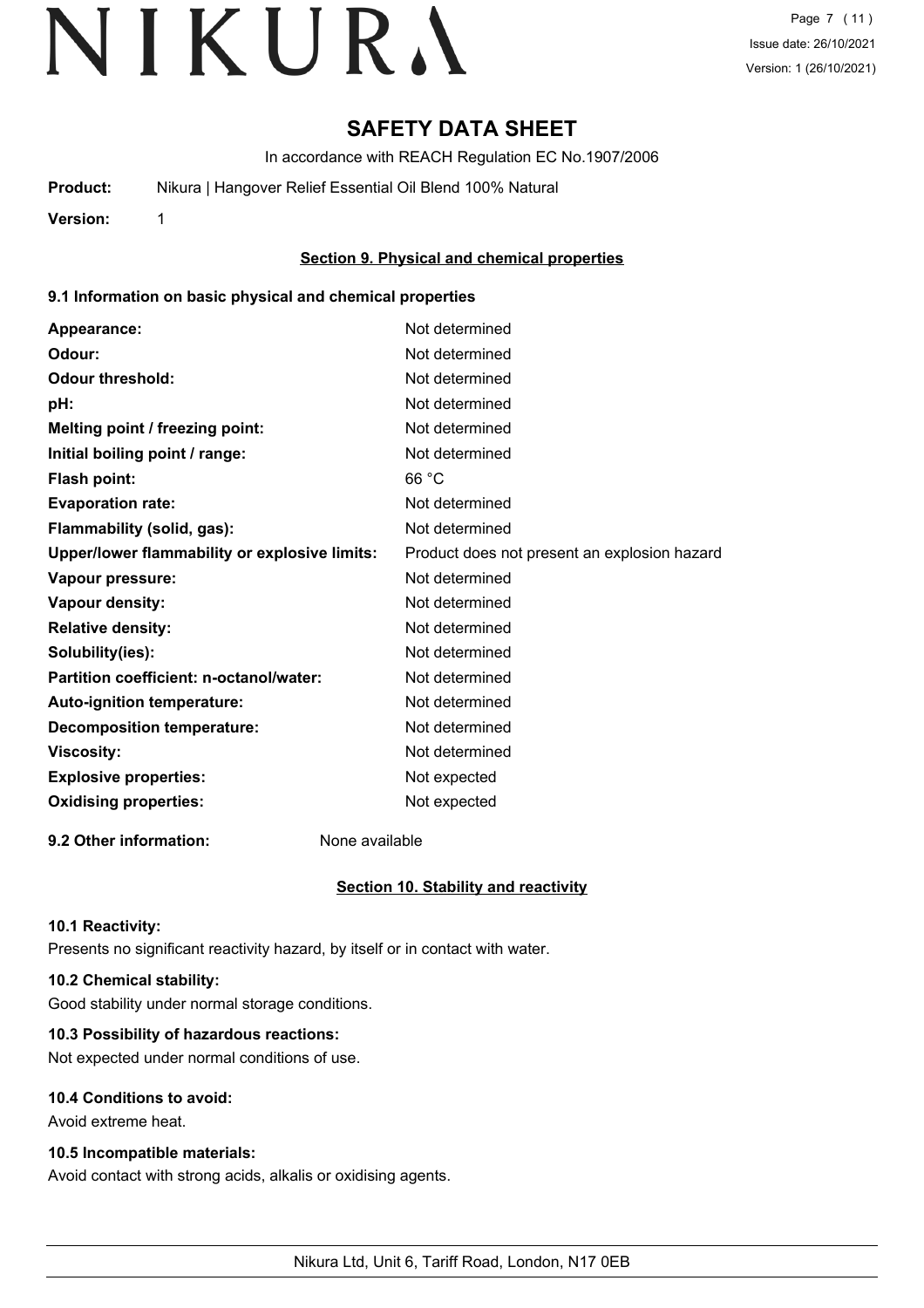### **SAFETY DATA SHEET**

In accordance with REACH Regulation EC No.1907/2006

**Product:** Nikura | Hangover Relief Essential Oil Blend 100% Natural

**Version:** 1

#### **Section 9. Physical and chemical properties**

#### **9.1 Information on basic physical and chemical properties**

| Appearance:                                   | Not determined                               |
|-----------------------------------------------|----------------------------------------------|
| Odour:                                        | Not determined                               |
| <b>Odour threshold:</b>                       | Not determined                               |
| pH:                                           | Not determined                               |
| Melting point / freezing point:               | Not determined                               |
| Initial boiling point / range:                | Not determined                               |
| Flash point:                                  | 66 °C                                        |
| <b>Evaporation rate:</b>                      | Not determined                               |
| Flammability (solid, gas):                    | Not determined                               |
| Upper/lower flammability or explosive limits: | Product does not present an explosion hazard |
| Vapour pressure:                              | Not determined                               |
| <b>Vapour density:</b>                        | Not determined                               |
| <b>Relative density:</b>                      | Not determined                               |
| Solubility(ies):                              | Not determined                               |
| Partition coefficient: n-octanol/water:       | Not determined                               |
| Auto-ignition temperature:                    | Not determined                               |
| <b>Decomposition temperature:</b>             | Not determined                               |
| <b>Viscosity:</b>                             | Not determined                               |
| <b>Explosive properties:</b>                  | Not expected                                 |
| <b>Oxidising properties:</b>                  | Not expected                                 |
|                                               |                                              |

**9.2 Other information:** None available

#### **Section 10. Stability and reactivity**

#### **10.1 Reactivity:**

Presents no significant reactivity hazard, by itself or in contact with water.

#### **10.2 Chemical stability:**

Good stability under normal storage conditions.

#### **10.3 Possibility of hazardous reactions:**

Not expected under normal conditions of use.

#### **10.4 Conditions to avoid:**

Avoid extreme heat.

#### **10.5 Incompatible materials:**

Avoid contact with strong acids, alkalis or oxidising agents.

Nikura Ltd, Unit 6, Tariff Road, London, N17 0EB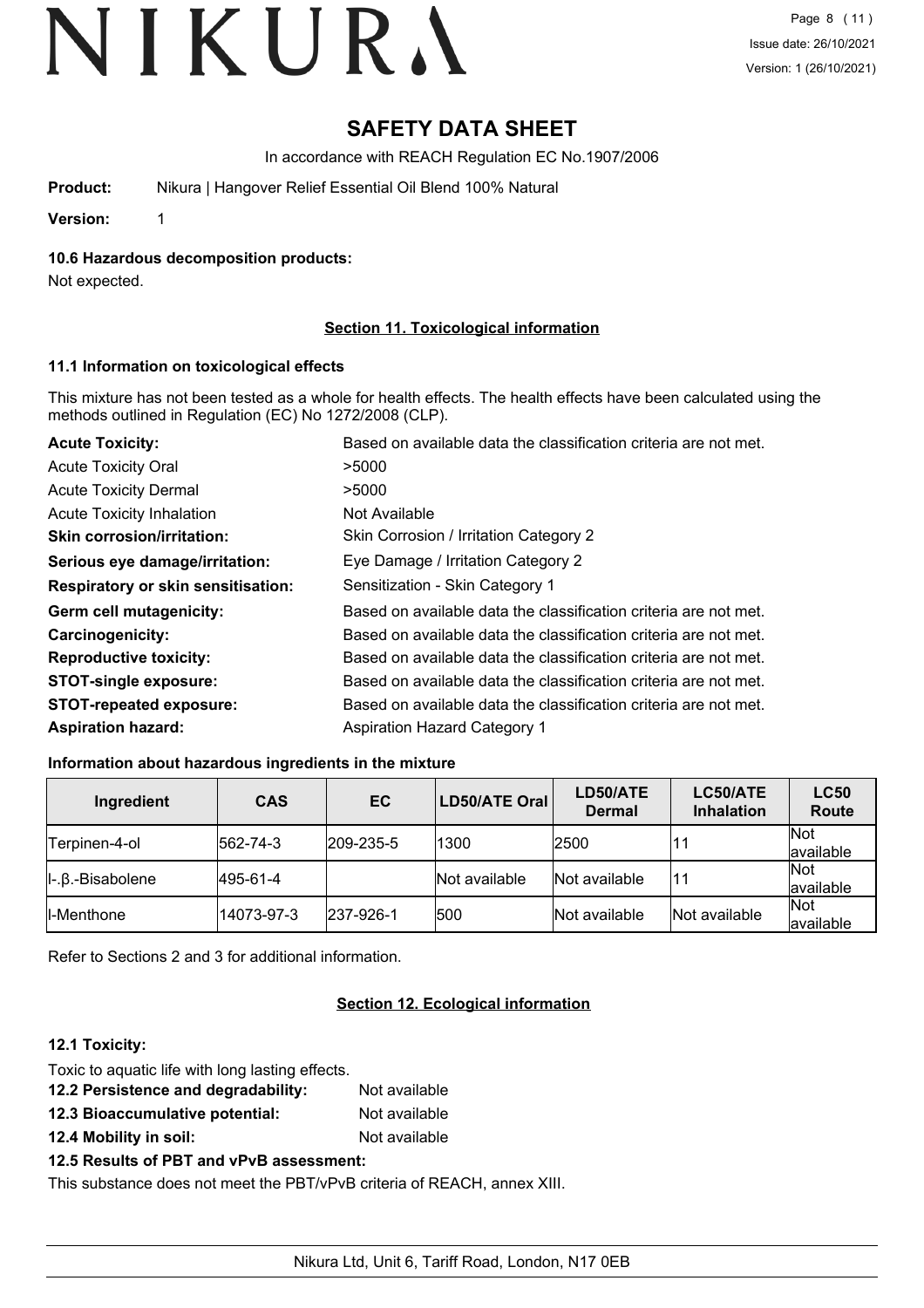## **SAFETY DATA SHEET**

In accordance with REACH Regulation EC No.1907/2006

| Nikura   Hangover Relief Essential Oil Blend 100% Natural<br>Product: |
|-----------------------------------------------------------------------|
|-----------------------------------------------------------------------|

**Version:** 1

**10.6 Hazardous decomposition products:**

Not expected.

#### **Section 11. Toxicological information**

#### **11.1 Information on toxicological effects**

This mixture has not been tested as a whole for health effects. The health effects have been calculated using the methods outlined in Regulation (EC) No 1272/2008 (CLP).

| <b>Acute Toxicity:</b>                    | Based on available data the classification criteria are not met. |  |  |
|-------------------------------------------|------------------------------------------------------------------|--|--|
| <b>Acute Toxicity Oral</b>                | >5000                                                            |  |  |
| <b>Acute Toxicity Dermal</b>              | >5000                                                            |  |  |
| <b>Acute Toxicity Inhalation</b>          | Not Available                                                    |  |  |
| <b>Skin corrosion/irritation:</b>         | Skin Corrosion / Irritation Category 2                           |  |  |
| Serious eye damage/irritation:            | Eye Damage / Irritation Category 2                               |  |  |
| <b>Respiratory or skin sensitisation:</b> | Sensitization - Skin Category 1                                  |  |  |
| Germ cell mutagenicity:                   | Based on available data the classification criteria are not met. |  |  |
| <b>Carcinogenicity:</b>                   | Based on available data the classification criteria are not met. |  |  |
| <b>Reproductive toxicity:</b>             | Based on available data the classification criteria are not met. |  |  |
| <b>STOT-single exposure:</b>              | Based on available data the classification criteria are not met. |  |  |
| <b>STOT-repeated exposure:</b>            | Based on available data the classification criteria are not met. |  |  |
| <b>Aspiration hazard:</b>                 | <b>Aspiration Hazard Category 1</b>                              |  |  |

#### **Information about hazardous ingredients in the mixture**

| Ingredient                   | <b>CAS</b> | EC                | <b>LD50/ATE Oral</b> | LD50/ATE<br><b>Dermal</b> | LC50/ATE<br><b>Inhalation</b> | <b>LC50</b><br>Route    |
|------------------------------|------------|-------------------|----------------------|---------------------------|-------------------------------|-------------------------|
| Terpinen-4-ol                | 562-74-3   | $ 209 - 235 - 5 $ | 1300                 | 2500                      | 11                            | <b>Not</b><br>available |
| $\ $ -. $\beta$ .-Bisabolene | 495-61-4   |                   | Not available        | Not available             | 11                            | <b>Not</b><br>available |
| II-Menthone                  | 14073-97-3 | 237-926-1         | 500                  | Not available             | Not available                 | <b>Not</b><br>available |

Refer to Sections 2 and 3 for additional information.

#### **Section 12. Ecological information**

#### **12.1 Toxicity:**

| Toxic to aquatic life with long lasting effects. |               |
|--------------------------------------------------|---------------|
| 12.2 Persistence and degradability:              | Not available |
| 12.3 Bioaccumulative potential:                  | Not available |
| 12.4 Mobility in soil:                           | Not available |

#### **12.5 Results of PBT and vPvB assessment:**

This substance does not meet the PBT/vPvB criteria of REACH, annex XIII.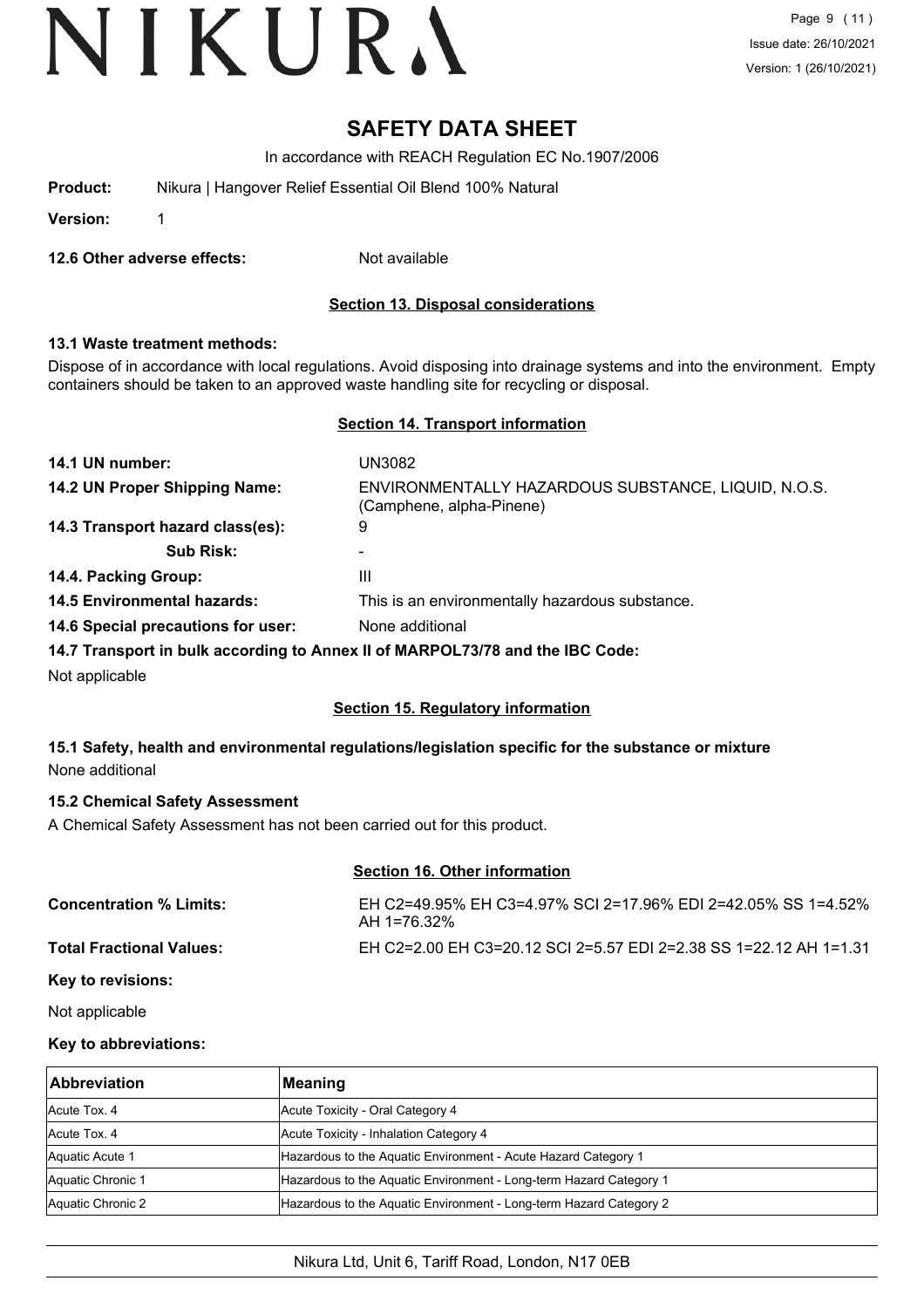### **SAFETY DATA SHEET**

In accordance with REACH Regulation EC No.1907/2006

| Nikura   Hangover Relief Essential Oil Blend 100% Natural<br>Product: |  |
|-----------------------------------------------------------------------|--|
|-----------------------------------------------------------------------|--|

**Version:** 1

**12.6 Other adverse effects:** Not available

**Section 13. Disposal considerations**

#### **13.1 Waste treatment methods:**

Dispose of in accordance with local regulations. Avoid disposing into drainage systems and into the environment. Empty containers should be taken to an approved waste handling site for recycling or disposal.

#### **Section 14. Transport information**

| 14.1 UN number:                                                               | UN3082                                                                          |
|-------------------------------------------------------------------------------|---------------------------------------------------------------------------------|
| 14.2 UN Proper Shipping Name:                                                 | ENVIRONMENTALLY HAZARDOUS SUBSTANCE, LIQUID, N.O.S.<br>(Camphene, alpha-Pinene) |
| 14.3 Transport hazard class(es):                                              | 9                                                                               |
| <b>Sub Risk:</b>                                                              |                                                                                 |
| 14.4. Packing Group:                                                          | Ш                                                                               |
| <b>14.5 Environmental hazards:</b>                                            | This is an environmentally hazardous substance.                                 |
| 14.6 Special precautions for user:                                            | None additional                                                                 |
| 14.7 Transport in bulk according to Annex II of MARPOL73/78 and the IBC Code: |                                                                                 |
| Not applicable                                                                |                                                                                 |

#### **Section 15. Regulatory information**

#### **15.1 Safety, health and environmental regulations/legislation specific for the substance or mixture** None additional

#### **15.2 Chemical Safety Assessment**

A Chemical Safety Assessment has not been carried out for this product.

#### **Section 16. Other information**

| <b>Concentration % Limits:</b>  | EH C2=49.95% EH C3=4.97% SCI 2=17.96% EDI 2=42.05% SS 1=4.52%<br>AH 1=76.32% |
|---------------------------------|------------------------------------------------------------------------------|
| <b>Total Fractional Values:</b> | EH C2=2.00 EH C3=20.12 SCI 2=5.57 EDI 2=2.38 SS 1=22.12 AH 1=1.31            |
| <i>Marita da dialecer</i>       |                                                                              |

**Key to revisions:**

Not applicable

#### **Key to abbreviations:**

| <b>Abbreviation</b> | Meaning                                                            |
|---------------------|--------------------------------------------------------------------|
| Acute Tox, 4        | Acute Toxicity - Oral Category 4                                   |
| Acute Tox, 4        | Acute Toxicity - Inhalation Category 4                             |
| Aquatic Acute 1     | Hazardous to the Aquatic Environment - Acute Hazard Category 1     |
| Aquatic Chronic 1   | Hazardous to the Aquatic Environment - Long-term Hazard Category 1 |
| Aquatic Chronic 2   | Hazardous to the Aquatic Environment - Long-term Hazard Category 2 |

#### Nikura Ltd, Unit 6, Tariff Road, London, N17 0EB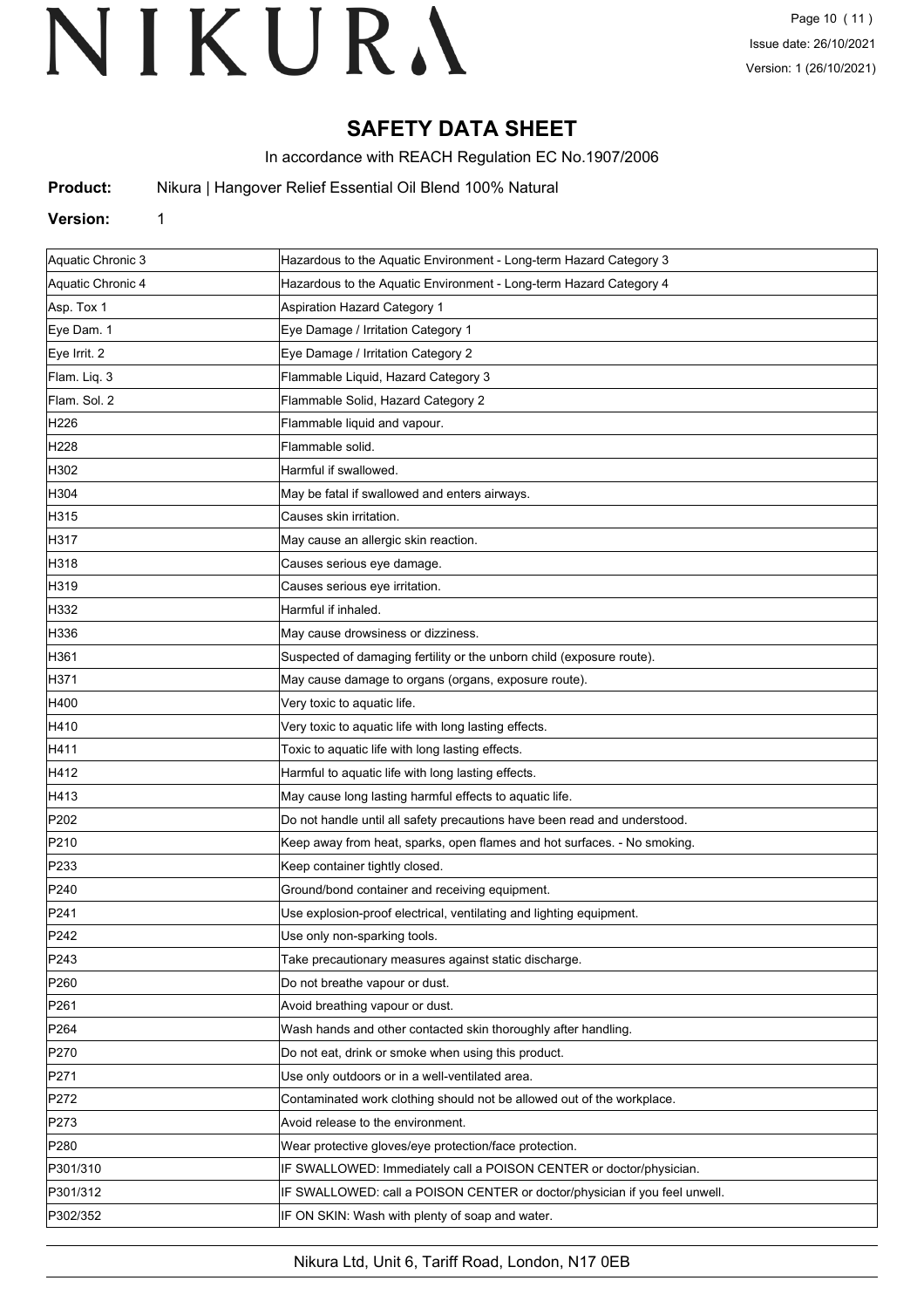## **SAFETY DATA SHEET**

In accordance with REACH Regulation EC No.1907/2006

**Product:** Nikura | Hangover Relief Essential Oil Blend 100% Natural

#### **Version:** 1

| Aquatic Chronic 3 | Hazardous to the Aquatic Environment - Long-term Hazard Category 3         |
|-------------------|----------------------------------------------------------------------------|
| Aquatic Chronic 4 | Hazardous to the Aquatic Environment - Long-term Hazard Category 4         |
| Asp. Tox 1        | <b>Aspiration Hazard Category 1</b>                                        |
| Eye Dam. 1        | Eye Damage / Irritation Category 1                                         |
| Eye Irrit. 2      | Eye Damage / Irritation Category 2                                         |
| Flam. Liq. 3      | Flammable Liquid, Hazard Category 3                                        |
| Flam. Sol. 2      | Flammable Solid, Hazard Category 2                                         |
| H226              | Flammable liquid and vapour.                                               |
| H <sub>228</sub>  | Flammable solid.                                                           |
| H302              | Harmful if swallowed.                                                      |
| H304              | May be fatal if swallowed and enters airways.                              |
| H315              | Causes skin irritation.                                                    |
| H317              | May cause an allergic skin reaction.                                       |
| H318              | Causes serious eye damage.                                                 |
| H319              | Causes serious eye irritation.                                             |
| H332              | Harmful if inhaled.                                                        |
| H336              | May cause drowsiness or dizziness.                                         |
| H361              | Suspected of damaging fertility or the unborn child (exposure route).      |
| H371              | May cause damage to organs (organs, exposure route).                       |
| H400              | Very toxic to aquatic life.                                                |
| H410              | Very toxic to aquatic life with long lasting effects.                      |
| H411              | Toxic to aquatic life with long lasting effects.                           |
| H412              | Harmful to aquatic life with long lasting effects.                         |
| H413              | May cause long lasting harmful effects to aquatic life.                    |
| P202              | Do not handle until all safety precautions have been read and understood.  |
| P210              | Keep away from heat, sparks, open flames and hot surfaces. - No smoking.   |
| P233              | Keep container tightly closed.                                             |
| P240              | Ground/bond container and receiving equipment.                             |
| P241              | Use explosion-proof electrical, ventilating and lighting equipment.        |
| P242              | Use only non-sparking tools.                                               |
| P243              | Take precautionary measures against static discharge.                      |
| P <sub>260</sub>  | Do not breathe vapour or dust.                                             |
| P <sub>261</sub>  | Avoid breathing vapour or dust.                                            |
| P <sub>264</sub>  | Wash hands and other contacted skin thoroughly after handling.             |
| P270              | Do not eat, drink or smoke when using this product.                        |
| P271              | Use only outdoors or in a well-ventilated area.                            |
| P272              | Contaminated work clothing should not be allowed out of the workplace.     |
| P273              | Avoid release to the environment.                                          |
| P <sub>280</sub>  | Wear protective gloves/eye protection/face protection.                     |
| P301/310          | IF SWALLOWED: Immediately call a POISON CENTER or doctor/physician.        |
| P301/312          | IF SWALLOWED: call a POISON CENTER or doctor/physician if you feel unwell. |
| P302/352          | IF ON SKIN: Wash with plenty of soap and water.                            |